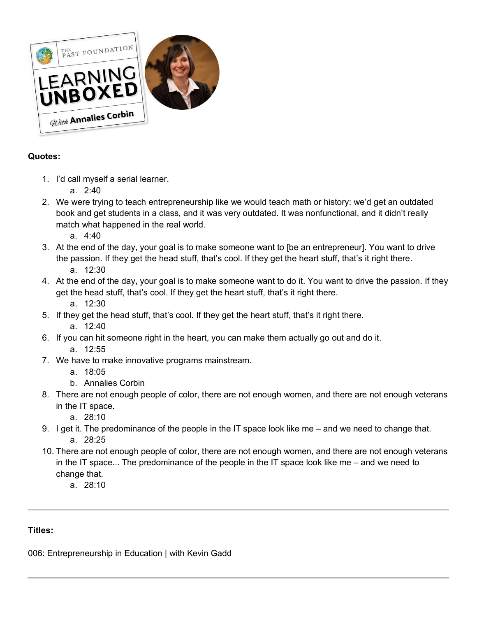

# **Quotes:**

- 1. I'd call myself a serial learner.
	- a. 2:40
- 2. We were trying to teach entrepreneurship like we would teach math or history: we'd get an outdated book and get students in a class, and it was very outdated. It was nonfunctional, and it didn't really match what happened in the real world.
	- a. 4:40
- 3. At the end of the day, your goal is to make someone want to [be an entrepreneur]. You want to drive the passion. If they get the head stuff, that's cool. If they get the heart stuff, that's it right there. a. 12:30
- 4. At the end of the day, your goal is to make someone want to do it. You want to drive the passion. If they get the head stuff, that's cool. If they get the heart stuff, that's it right there.
	- a. 12:30
- 5. If they get the head stuff, that's cool. If they get the heart stuff, that's it right there.
	- a. 12:40
- 6. If you can hit someone right in the heart, you can make them actually go out and do it. a. 12:55
- 7. We have to make innovative programs mainstream.
	- a. 18:05
	- b. Annalies Corbin
- 8. There are not enough people of color, there are not enough women, and there are not enough veterans in the IT space.
	- a. 28:10
- 9. I get it. The predominance of the people in the IT space look like me and we need to change that. a. 28:25
- 10. There are not enough people of color, there are not enough women, and there are not enough veterans in the IT space... The predominance of the people in the IT space look like me – and we need to change that.
	- a. 28:10

# **Titles:**

006: Entrepreneurship in Education | with Kevin Gadd